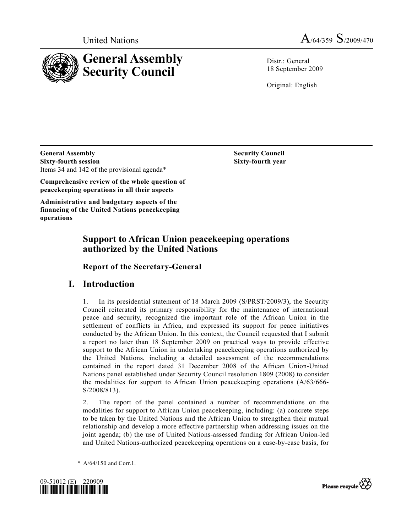



Distr · General 18 September 2009

Original: English

**General Assembly Security Council Security Council Sixty-fourth session Sixty-fourth year**  Items 34 and 142 of the provisional agenda\*

**Comprehensive review of the whole question of peacekeeping operations in all their aspects** 

**Administrative and budgetary aspects of the financing of the United Nations peacekeeping operations** 

# **Support to African Union peacekeeping operations authorized by the United Nations**

 **Report of the Secretary-General** 

# **I. Introduction**

1. In its presidential statement of 18 March 2009 (S/PRST/2009/3), the Security Council reiterated its primary responsibility for the maintenance of international peace and security, recognized the important role of the African Union in the settlement of conflicts in Africa, and expressed its support for peace initiatives conducted by the African Union. In this context, the Council requested that I submit a report no later than 18 September 2009 on practical ways to provide effective support to the African Union in undertaking peacekeeping operations authorized by the United Nations, including a detailed assessment of the recommendations contained in the report dated 31 December 2008 of the African Union-United Nations panel established under Security Council resolution 1809 (2008) to consider the modalities for support to African Union peacekeeping operations (A/63/666- S/2008/813).

2. The report of the panel contained a number of recommendations on the modalities for support to African Union peacekeeping, including: (a) concrete steps to be taken by the United Nations and the African Union to strengthen their mutual relationship and develop a more effective partnership when addressing issues on the joint agenda; (b) the use of United Nations-assessed funding for African Union-led and United Nations-authorized peacekeeping operations on a case-by-case basis, for

 <sup>\*</sup> A/64/150 and Corr.1.



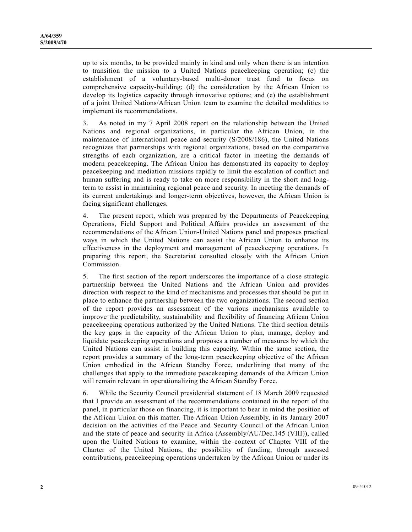up to six months, to be provided mainly in kind and only when there is an intention to transition the mission to a United Nations peacekeeping operation; (c) the establishment of a voluntary-based multi-donor trust fund to focus on comprehensive capacity-building; (d) the consideration by the African Union to develop its logistics capacity through innovative options; and (e) the establishment of a joint United Nations/African Union team to examine the detailed modalities to implement its recommendations.

3. As noted in my 7 April 2008 report on the relationship between the United Nations and regional organizations, in particular the African Union, in the maintenance of international peace and security (S/2008/186), the United Nations recognizes that partnerships with regional organizations, based on the comparative strengths of each organization, are a critical factor in meeting the demands of modern peacekeeping. The African Union has demonstrated its capacity to deploy peacekeeping and mediation missions rapidly to limit the escalation of conflict and human suffering and is ready to take on more responsibility in the short and longterm to assist in maintaining regional peace and security. In meeting the demands of its current undertakings and longer-term objectives, however, the African Union is facing significant challenges.

4. The present report, which was prepared by the Departments of Peacekeeping Operations, Field Support and Political Affairs provides an assessment of the recommendations of the African Union-United Nations panel and proposes practical ways in which the United Nations can assist the African Union to enhance its effectiveness in the deployment and management of peacekeeping operations. In preparing this report, the Secretariat consulted closely with the African Union Commission.

5. The first section of the report underscores the importance of a close strategic partnership between the United Nations and the African Union and provides direction with respect to the kind of mechanisms and processes that should be put in place to enhance the partnership between the two organizations. The second section of the report provides an assessment of the various mechanisms available to improve the predictability, sustainability and flexibility of financing African Union peacekeeping operations authorized by the United Nations. The third section details the key gaps in the capacity of the African Union to plan, manage, deploy and liquidate peacekeeping operations and proposes a number of measures by which the United Nations can assist in building this capacity. Within the same section, the report provides a summary of the long-term peacekeeping objective of the African Union embodied in the African Standby Force, underlining that many of the challenges that apply to the immediate peacekeeping demands of the African Union will remain relevant in operationalizing the African Standby Force.

6. While the Security Council presidential statement of 18 March 2009 requested that I provide an assessment of the recommendations contained in the report of the panel, in particular those on financing, it is important to bear in mind the position of the African Union on this matter. The African Union Assembly, in its January 2007 decision on the activities of the Peace and Security Council of the African Union and the state of peace and security in Africa (Assembly/AU/Dec.145 (VIII)), called upon the United Nations to examine, within the context of Chapter VIII of the Charter of the United Nations, the possibility of funding, through assessed contributions, peacekeeping operations undertaken by the African Union or under its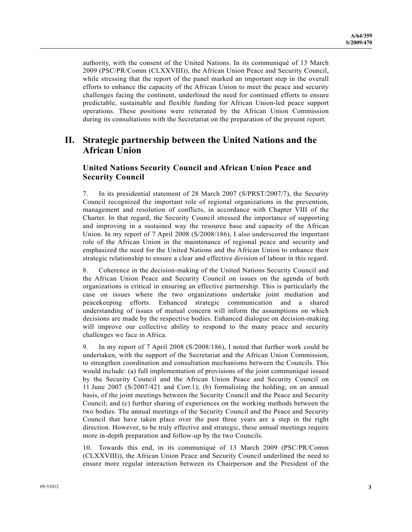authority, with the consent of the United Nations. In its communiqué of 13 March 2009 (PSC/PR/Comm (CLXXVIII)), the African Union Peace and Security Council, while stressing that the report of the panel marked an important step in the overall efforts to enhance the capacity of the African Union to meet the peace and security challenges facing the continent, underlined the need for continued efforts to ensure predictable, sustainable and flexible funding for African Union-led peace support operations. These positions were reiterated by the African Union Commission during its consultations with the Secretariat on the preparation of the present report.

## **II. Strategic partnership between the United Nations and the African Union**

## **United Nations Security Council and African Union Peace and Security Council**

7. In its presidential statement of 28 March 2007 (S/PRST/2007/7), the Security Council recognized the important role of regional organizations in the prevention, management and resolution of conflicts, in accordance with Chapter VIII of the Charter. In that regard, the Security Council stressed the importance of supporting and improving in a sustained way the resource base and capacity of the African Union. In my report of 7 April 2008 (S/2008/186), I also underscored the important role of the African Union in the maintenance of regional peace and security and emphasized the need for the United Nations and the African Union to enhance their strategic relationship to ensure a clear and effective division of labour in this regard.

8. Coherence in the decision-making of the United Nations Security Council and the African Union Peace and Security Council on issues on the agenda of both organizations is critical in ensuring an effective partnership. This is particularly the case on issues where the two organizations undertake joint mediation and peacekeeping efforts. Enhanced strategic communication and a shared understanding of issues of mutual concern will inform the assumptions on which decisions are made by the respective bodies. Enhanced dialogue on decision-making will improve our collective ability to respond to the many peace and security challenges we face in Africa.

9. In my report of 7 April 2008 (S/2008/186), I noted that further work could be undertaken, with the support of the Secretariat and the African Union Commission, to strengthen coordination and consultation mechanisms between the Councils. This would include: (a) full implementation of provisions of the joint communiqué issued by the Security Council and the African Union Peace and Security Council on 11 June 2007 (S/2007/421 and Corr.1); (b) formalizing the holding, on an annual basis, of the joint meetings between the Security Council and the Peace and Security Council; and (c) further sharing of experiences on the working methods between the two bodies. The annual meetings of the Security Council and the Peace and Security Council that have taken place over the past three years are a step in the right direction. However, to be truly effective and strategic, these annual meetings require more in-depth preparation and follow-up by the two Councils.

10. Towards this end, in its communiqué of 13 March 2009 (PSC/PR/Comm (CLXXVIII)), the African Union Peace and Security Council underlined the need to ensure more regular interaction between its Chairperson and the President of the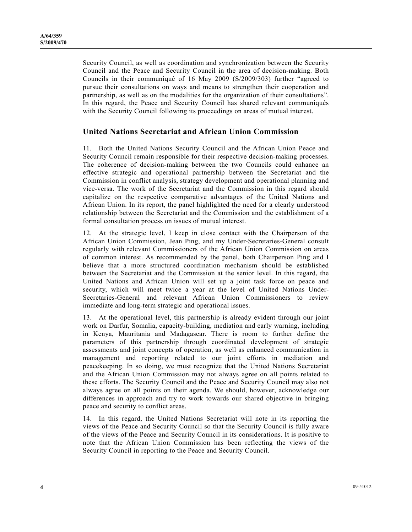Security Council, as well as coordination and synchronization between the Security Council and the Peace and Security Council in the area of decision-making. Both Councils in their communiqué of 16 May 2009 (S/2009/303) further "agreed to pursue their consultations on ways and means to strengthen their cooperation and partnership, as well as on the modalities for the organization of their consultations". In this regard, the Peace and Security Council has shared relevant communiqués with the Security Council following its proceedings on areas of mutual interest.

## **United Nations Secretariat and African Union Commission**

11. Both the United Nations Security Council and the African Union Peace and Security Council remain responsible for their respective decision-making processes. The coherence of decision-making between the two Councils could enhance an effective strategic and operational partnership between the Secretariat and the Commission in conflict analysis, strategy development and operational planning and vice-versa. The work of the Secretariat and the Commission in this regard should capitalize on the respective comparative advantages of the United Nations and African Union. In its report, the panel highlighted the need for a clearly understood relationship between the Secretariat and the Commission and the establishment of a formal consultation process on issues of mutual interest.

12. At the strategic level, I keep in close contact with the Chairperson of the African Union Commission, Jean Ping, and my Under-Secretaries-General consult regularly with relevant Commissioners of the African Union Commission on areas of common interest. As recommended by the panel, both Chairperson Ping and I believe that a more structured coordination mechanism should be established between the Secretariat and the Commission at the senior level. In this regard, the United Nations and African Union will set up a joint task force on peace and security, which will meet twice a year at the level of United Nations Under-Secretaries-General and relevant African Union Commissioners to review immediate and long-term strategic and operational issues.

13. At the operational level, this partnership is already evident through our joint work on Darfur, Somalia, capacity-building, mediation and early warning, including in Kenya, Mauritania and Madagascar. There is room to further define the parameters of this partnership through coordinated development of strategic assessments and joint concepts of operation, as well as enhanced communication in management and reporting related to our joint efforts in mediation and peacekeeping. In so doing, we must recognize that the United Nations Secretariat and the African Union Commission may not always agree on all points related to these efforts. The Security Council and the Peace and Security Council may also not always agree on all points on their agenda. We should, however, acknowledge our differences in approach and try to work towards our shared objective in bringing peace and security to conflict areas.

14. In this regard, the United Nations Secretariat will note in its reporting the views of the Peace and Security Council so that the Security Council is fully aware of the views of the Peace and Security Council in its considerations. It is positive to note that the African Union Commission has been reflecting the views of the Security Council in reporting to the Peace and Security Council.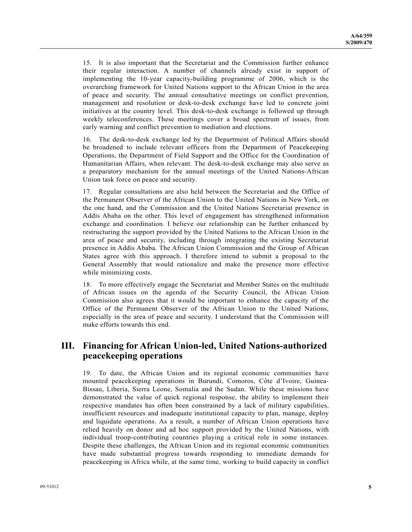15. It is also important that the Secretariat and the Commission further enhance their regular interaction. A number of channels already exist in support of implementing the 10-year capacity-building programme of 2006, which is the overarching framework for United Nations support to the African Union in the area of peace and security. The annual consultative meetings on conflict prevention, management and resolution or desk-to-desk exchange have led to concrete joint initiatives at the country level. This desk-to-desk exchange is followed up through weekly teleconferences. These meetings cover a broad spectrum of issues, from early warning and conflict prevention to mediation and elections.

16. The desk-to-desk exchange led by the Department of Political Affairs should be broadened to include relevant officers from the Department of Peacekeeping Operations, the Department of Field Support and the Office for the Coordination of Humanitarian Affairs, when relevant. The desk-to-desk exchange may also serve as a preparatory mechanism for the annual meetings of the United Nations-African Union task force on peace and security.

17. Regular consultations are also held between the Secretariat and the Office of the Permanent Observer of the African Union to the United Nations in New York, on the one hand, and the Commission and the United Nations Secretariat presence in Addis Ababa on the other. This level of engagement has strengthened information exchange and coordination. I believe our relationship can be further enhanced by restructuring the support provided by the United Nations to the African Union in the area of peace and security, including through integrating the existing Secretariat presence in Addis Ababa. The African Union Commission and the Group of African States agree with this approach. I therefore intend to submit a proposal to the General Assembly that would rationalize and make the presence more effective while minimizing costs.

18. To more effectively engage the Secretariat and Member States on the multitude of African issues on the agenda of the Security Council, the African Union Commission also agrees that it would be important to enhance the capacity of the Office of the Permanent Observer of the African Union to the United Nations, especially in the area of peace and security. I understand that the Commission will make efforts towards this end.

# **III. Financing for African Union-led, United Nations-authorized peacekeeping operations**

19. To date, the African Union and its regional economic communities have mounted peacekeeping operations in Burundi, Comoros, Côte d'Ivoire, Guinea-Bissau, Liberia, Sierra Leone, Somalia and the Sudan. While these missions have demonstrated the value of quick regional response, the ability to implement their respective mandates has often been constrained by a lack of military capabilities, insufficient resources and inadequate institutional capacity to plan, manage, deploy and liquidate operations. As a result, a number of African Union operations have relied heavily on donor and ad hoc support provided by the United Nations, with individual troop-contributing countries playing a critical role in some instances. Despite these challenges, the African Union and its regional economic communities have made substantial progress towards responding to immediate demands for peacekeeping in Africa while, at the same time, working to build capacity in conflict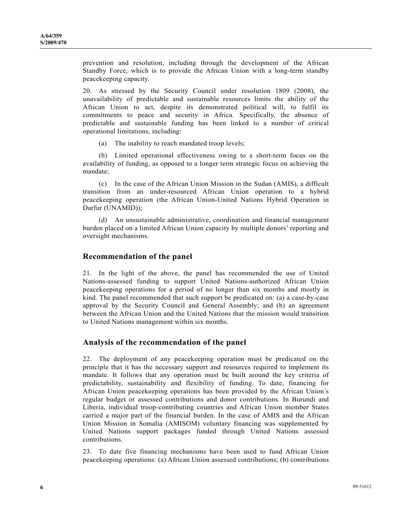prevention and resolution, including through the development of the African Standby Force, which is to provide the African Union with a long-term standby peacekeeping capacity.

20. As stressed by the Security Council under resolution 1809 (2008), the unavailability of predictable and sustainable resources limits the ability of the African Union to act, despite its demonstrated political will, to fulfil its commitments to peace and security in Africa. Specifically, the absence of predictable and sustainable funding has been linked to a number of critical operational limitations, including:

(a) The inability to reach mandated troop levels;

 (b) Limited operational effectiveness owing to a short-term focus on the availability of funding, as opposed to a longer term strategic focus on achieving the mandate;

 (c) In the case of the African Union Mission in the Sudan (AMIS), a difficult transition from an under-resourced African Union operation to a hybrid peacekeeping operation (the African Union-United Nations Hybrid Operation in Darfur (UNAMID));

 (d) An unsustainable administrative, coordination and financial management burden placed on a limited African Union capacity by multiple donors' reporting and oversight mechanisms.

## **Recommendation of the panel**

21. In the light of the above, the panel has recommended the use of United Nations-assessed funding to support United Nations-authorized African Union peacekeeping operations for a period of no longer than six months and mostly in kind. The panel recommended that such support be predicated on: (a) a case-by-case approval by the Security Council and General Assembly; and (b) an agreement between the African Union and the United Nations that the mission would transition to United Nations management within six months.

### **Analysis of the recommendation of the panel**

22. The deployment of any peacekeeping operation must be predicated on the principle that it has the necessary support and resources required to implement its mandate. It follows that any operation must be built around the key criteria of predictability, sustainability and flexibility of funding. To date, financing for African Union peacekeeping operations has been provided by the African Union's regular budget or assessed contributions and donor contributions. In Burundi and Liberia, individual troop-contributing countries and African Union member States carried a major part of the financial burden. In the case of AMIS and the African Union Mission in Somalia (AMISOM) voluntary financing was supplemented by United Nations support packages funded through United Nations assessed contributions.

23. To date five financing mechanisms have been used to fund African Union peacekeeping operations: (a) African Union assessed contributions; (b) contributions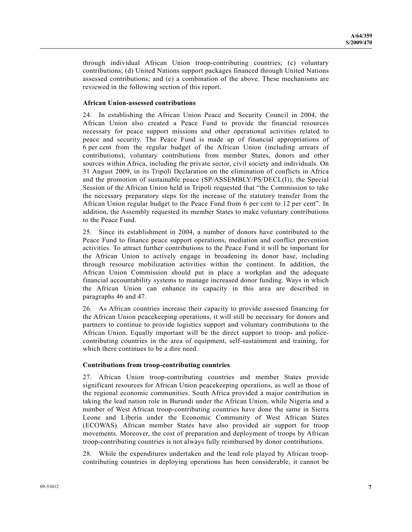through individual African Union troop-contributing countries; (c) voluntary contributions; (d) United Nations support packages financed through United Nations assessed contributions; and (e) a combination of the above. These mechanisms are reviewed in the following section of this report.

#### **African Union-assessed contributions**

24. In establishing the African Union Peace and Security Council in 2004, the African Union also created a Peace Fund to provide the financial resources necessary for peace support missions and other operational activities related to peace and security. The Peace Fund is made up of financial appropriations of 6 per cent from the regular budget of the African Union (including arrears of contributions), voluntary contributions from member States, donors and other sources within Africa, including the private sector, civil society and individuals. On 31 August 2009, in its Tripoli Declaration on the elimination of conflicts in Africa and the promotion of sustainable peace (SP/ASSEMBLY/PS/DECL(I)), the Special Session of the African Union held in Tripoli requested that "the Commission to take the necessary preparatory steps for the increase of the statutory transfer from the African Union regular budget to the Peace Fund from 6 per cent to 12 per cent". In addition, the Assembly requested its member States to make voluntary contributions to the Peace Fund.

25. Since its establishment in 2004, a number of donors have contributed to the Peace Fund to finance peace support operations, mediation and conflict prevention activities. To attract further contributions to the Peace Fund it will be important for the African Union to actively engage in broadening its donor base, including through resource mobilization activities within the continent. In addition, the African Union Commission should put in place a workplan and the adequate financial accountability systems to manage increased donor funding. Ways in which the African Union can enhance its capacity in this area are described in paragraphs 46 and 47.

26. As African countries increase their capacity to provide assessed financing for the African Union peacekeeping operations, it will still be necessary for donors and partners to continue to provide logistics support and voluntary contributions to the African Union. Equally important will be the direct support to troop- and policecontributing countries in the area of equipment, self-sustainment and training, for which there continues to be a dire need.

#### **Contributions from troop-contributing countries**

27. African Union troop-contributing countries and member States provide significant resources for African Union peacekeeping operations, as well as those of the regional economic communities. South Africa provided a major contribution in taking the lead nation role in Burundi under the African Union, while Nigeria and a number of West African troop-contributing countries have done the same in Sierra Leone and Liberia under the Economic Community of West African States (ECOWAS). African member States have also provided air support for troop movements. Moreover, the cost of preparation and deployment of troops by African troop-contributing countries is not always fully reimbursed by donor contributions.

28. While the expenditures undertaken and the lead role played by African troopcontributing countries in deploying operations has been considerable, it cannot be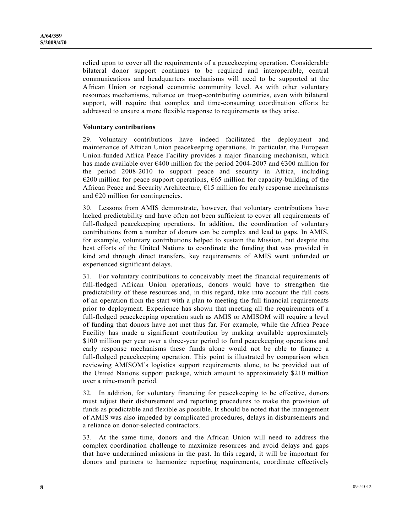relied upon to cover all the requirements of a peacekeeping operation. Considerable bilateral donor support continues to be required and interoperable, central communications and headquarters mechanisms will need to be supported at the African Union or regional economic community level. As with other voluntary resources mechanisms, reliance on troop-contributing countries, even with bilateral support, will require that complex and time-consuming coordination efforts be addressed to ensure a more flexible response to requirements as they arise.

#### **Voluntary contributions**

29. Voluntary contributions have indeed facilitated the deployment and maintenance of African Union peacekeeping operations. In particular, the European Union-funded Africa Peace Facility provides a major financing mechanism, which has made available over €400 million for the period 2004-2007 and €300 million for the period 2008-2010 to support peace and security in Africa, including  $\epsilon$ 200 million for peace support operations,  $\epsilon$ 65 million for capacity-building of the African Peace and Security Architecture, €15 million for early response mechanisms and  $E20$  million for contingencies.

30. Lessons from AMIS demonstrate, however, that voluntary contributions have lacked predictability and have often not been sufficient to cover all requirements of full-fledged peacekeeping operations. In addition, the coordination of voluntary contributions from a number of donors can be complex and lead to gaps. In AMIS, for example, voluntary contributions helped to sustain the Mission, but despite the best efforts of the United Nations to coordinate the funding that was provided in kind and through direct transfers, key requirements of AMIS went unfunded or experienced significant delays.

31. For voluntary contributions to conceivably meet the financial requirements of full-fledged African Union operations, donors would have to strengthen the predictability of these resources and, in this regard, take into account the full costs of an operation from the start with a plan to meeting the full financial requirements prior to deployment. Experience has shown that meeting all the requirements of a full-fledged peacekeeping operation such as AMIS or AMISOM will require a level of funding that donors have not met thus far. For example, while the Africa Peace Facility has made a significant contribution by making available approximately \$100 million per year over a three-year period to fund peacekeeping operations and early response mechanisms these funds alone would not be able to finance a full-fledged peacekeeping operation. This point is illustrated by comparison when reviewing AMISOM's logistics support requirements alone, to be provided out of the United Nations support package, which amount to approximately \$210 million over a nine-month period.

32. In addition, for voluntary financing for peacekeeping to be effective, donors must adjust their disbursement and reporting procedures to make the provision of funds as predictable and flexible as possible. It should be noted that the management of AMIS was also impeded by complicated procedures, delays in disbursements and a reliance on donor-selected contractors.

33. At the same time, donors and the African Union will need to address the complex coordination challenge to maximize resources and avoid delays and gaps that have undermined missions in the past. In this regard, it will be important for donors and partners to harmonize reporting requirements, coordinate effectively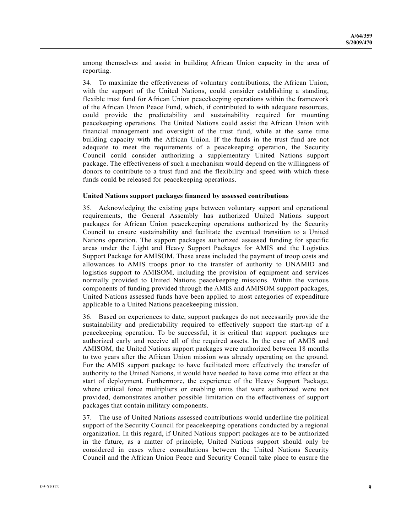among themselves and assist in building African Union capacity in the area of reporting.

34. To maximize the effectiveness of voluntary contributions, the African Union, with the support of the United Nations, could consider establishing a standing, flexible trust fund for African Union peacekeeping operations within the framework of the African Union Peace Fund, which, if contributed to with adequate resources, could provide the predictability and sustainability required for mounting peacekeeping operations. The United Nations could assist the African Union with financial management and oversight of the trust fund, while at the same time building capacity with the African Union. If the funds in the trust fund are not adequate to meet the requirements of a peacekeeping operation, the Security Council could consider authorizing a supplementary United Nations support package. The effectiveness of such a mechanism would depend on the willingness of donors to contribute to a trust fund and the flexibility and speed with which these funds could be released for peacekeeping operations.

#### **United Nations support packages financed by assessed contributions**

35. Acknowledging the existing gaps between voluntary support and operational requirements, the General Assembly has authorized United Nations support packages for African Union peacekeeping operations authorized by the Security Council to ensure sustainability and facilitate the eventual transition to a United Nations operation. The support packages authorized assessed funding for specific areas under the Light and Heavy Support Packages for AMIS and the Logistics Support Package for AMISOM. These areas included the payment of troop costs and allowances to AMIS troops prior to the transfer of authority to UNAMID and logistics support to AMISOM, including the provision of equipment and services normally provided to United Nations peacekeeping missions. Within the various components of funding provided through the AMIS and AMISOM support packages, United Nations assessed funds have been applied to most categories of expenditure applicable to a United Nations peacekeeping mission.

36. Based on experiences to date, support packages do not necessarily provide the sustainability and predictability required to effectively support the start-up of a peacekeeping operation. To be successful, it is critical that support packages are authorized early and receive all of the required assets. In the case of AMIS and AMISOM, the United Nations support packages were authorized between 18 months to two years after the African Union mission was already operating on the ground. For the AMIS support package to have facilitated more effectively the transfer of authority to the United Nations, it would have needed to have come into effect at the start of deployment. Furthermore, the experience of the Heavy Support Package, where critical force multipliers or enabling units that were authorized were not provided, demonstrates another possible limitation on the effectiveness of support packages that contain military components.

37. The use of United Nations assessed contributions would underline the political support of the Security Council for peacekeeping operations conducted by a regional organization. In this regard, if United Nations support packages are to be authorized in the future, as a matter of principle, United Nations support should only be considered in cases where consultations between the United Nations Security Council and the African Union Peace and Security Council take place to ensure the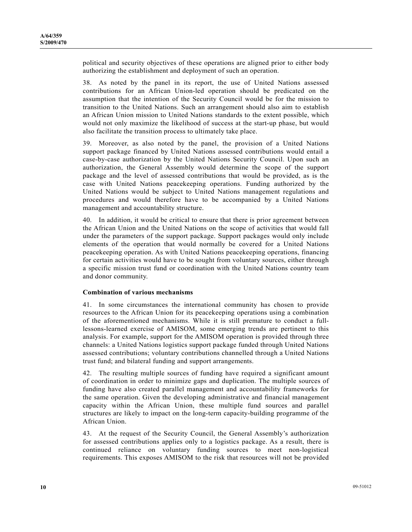political and security objectives of these operations are aligned prior to either body authorizing the establishment and deployment of such an operation.

38. As noted by the panel in its report, the use of United Nations assessed contributions for an African Union-led operation should be predicated on the assumption that the intention of the Security Council would be for the mission to transition to the United Nations. Such an arrangement should also aim to establish an African Union mission to United Nations standards to the extent possible, which would not only maximize the likelihood of success at the start-up phase, but would also facilitate the transition process to ultimately take place.

39. Moreover, as also noted by the panel, the provision of a United Nations support package financed by United Nations assessed contributions would entail a case-by-case authorization by the United Nations Security Council. Upon such an authorization, the General Assembly would determine the scope of the support package and the level of assessed contributions that would be provided, as is the case with United Nations peacekeeping operations. Funding authorized by the United Nations would be subject to United Nations management regulations and procedures and would therefore have to be accompanied by a United Nations management and accountability structure.

40. In addition, it would be critical to ensure that there is prior agreement between the African Union and the United Nations on the scope of activities that would fall under the parameters of the support package. Support packages would only include elements of the operation that would normally be covered for a United Nations peacekeeping operation. As with United Nations peacekeeping operations, financing for certain activities would have to be sought from voluntary sources, either through a specific mission trust fund or coordination with the United Nations country team and donor community.

#### **Combination of various mechanisms**

41. In some circumstances the international community has chosen to provide resources to the African Union for its peacekeeping operations using a combination of the aforementioned mechanisms. While it is still premature to conduct a fulllessons-learned exercise of AMISOM, some emerging trends are pertinent to this analysis. For example, support for the AMISOM operation is provided through three channels: a United Nations logistics support package funded through United Nations assessed contributions; voluntary contributions channelled through a United Nations trust fund; and bilateral funding and support arrangements.

42. The resulting multiple sources of funding have required a significant amount of coordination in order to minimize gaps and duplication. The multiple sources of funding have also created parallel management and accountability frameworks for the same operation. Given the developing administrative and financial management capacity within the African Union, these multiple fund sources and parallel structures are likely to impact on the long-term capacity-building programme of the African Union.

43. At the request of the Security Council, the General Assembly's authorization for assessed contributions applies only to a logistics package. As a result, there is continued reliance on voluntary funding sources to meet non-logistical requirements. This exposes AMISOM to the risk that resources will not be provided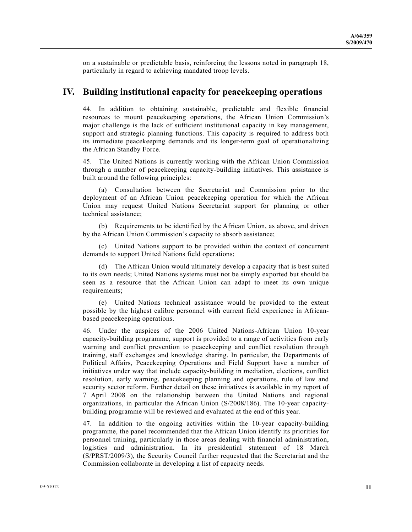on a sustainable or predictable basis, reinforcing the lessons noted in paragraph 18, particularly in regard to achieving mandated troop levels.

## **IV. Building institutional capacity for peacekeeping operations**

44. In addition to obtaining sustainable, predictable and flexible financial resources to mount peacekeeping operations, the African Union Commission's major challenge is the lack of sufficient institutional capacity in key management, support and strategic planning functions. This capacity is required to address both its immediate peacekeeping demands and its longer-term goal of operationalizing the African Standby Force.

45. The United Nations is currently working with the African Union Commission through a number of peacekeeping capacity-building initiatives. This assistance is built around the following principles:

 (a) Consultation between the Secretariat and Commission prior to the deployment of an African Union peacekeeping operation for which the African Union may request United Nations Secretariat support for planning or other technical assistance;

 (b) Requirements to be identified by the African Union, as above, and driven by the African Union Commission's capacity to absorb assistance;

 (c) United Nations support to be provided within the context of concurrent demands to support United Nations field operations;

 (d) The African Union would ultimately develop a capacity that is best suited to its own needs; United Nations systems must not be simply exported but should be seen as a resource that the African Union can adapt to meet its own unique requirements;

 (e) United Nations technical assistance would be provided to the extent possible by the highest calibre personnel with current field experience in Africanbased peacekeeping operations.

46. Under the auspices of the 2006 United Nations-African Union 10-year capacity-building programme, support is provided to a range of activities from early warning and conflict prevention to peacekeeping and conflict resolution through training, staff exchanges and knowledge sharing. In particular, the Departments of Political Affairs, Peacekeeping Operations and Field Support have a number of initiatives under way that include capacity-building in mediation, elections, conflict resolution, early warning, peacekeeping planning and operations, rule of law and security sector reform. Further detail on these initiatives is available in my report of 7 April 2008 on the relationship between the United Nations and regional organizations, in particular the African Union (S/2008/186). The 10-year capacitybuilding programme will be reviewed and evaluated at the end of this year.

47. In addition to the ongoing activities within the 10-year capacity-building programme, the panel recommended that the African Union identify its priorities for personnel training, particularly in those areas dealing with financial administration, logistics and administration. In its presidential statement of 18 March (S/PRST/2009/3), the Security Council further requested that the Secretariat and the Commission collaborate in developing a list of capacity needs.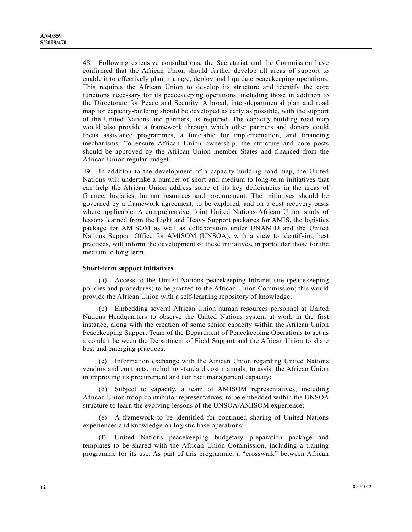48. Following extensive consultations, the Secretariat and the Commission have confirmed that the African Union should further develop all areas of support to enable it to effectively plan, manage, deploy and liquidate peacekeeping operations. This requires the African Union to develop its structure and identify the core functions necessary for its peacekeeping operations, including those in addition to the Directorate for Peace and Security. A broad, inter-departmental plan and road map for capacity-building should be developed as early as possible, with the support of the United Nations and partners, as required. The capacity-building road map would also provide a framework through which other partners and donors could focus assistance programmes, a timetable for implementation, and financing mechanisms. To ensure African Union ownership, the structure and core posts should be approved by the African Union member States and financed from the African Union regular budget.

49. In addition to the development of a capacity-building road map, the United Nations will undertake a number of short and medium to long-term initiatives that can help the African Union address some of its key deficiencies in the areas of finance, logistics, human resources and procurement. The initiatives should be governed by a framework agreement, to be explored, and on a cost recovery basis where applicable. A comprehensive, joint United Nations-African Union study of lessons learned from the Light and Heavy Support packages for AMIS, the logistics package for AMISOM as well as collaboration under UNAMID and the United Nations Support Office for AMISOM (UNSOA), with a view to identifying best practices, will inform the development of these initiatives, in particular those for the medium to long term.

#### **Short-term support initiatives**

 (a) Access to the United Nations peacekeeping Intranet site (peacekeeping policies and procedures) to be granted to the African Union Commission; this would provide the African Union with a self-learning repository of knowledge;

 (b) Embedding several African Union human resources personnel at United Nations Headquarters to observe the United Nations system at work in the first instance, along with the creation of some senior capacity within the African Union Peacekeeping Support Team of the Department of Peacekeeping Operations to act as a conduit between the Department of Field Support and the African Union to share best and emerging practices;

 (c) Information exchange with the African Union regarding United Nations vendors and contracts, including standard cost manuals, to assist the African Union in improving its procurement and contract management capacity;

 (d) Subject to capacity, a team of AMISOM representatives, including African Union troop-contributor representatives, to be embedded within the UNSOA structure to learn the evolving lessons of the UNSOA/AMISOM experience;

 (e) A framework to be identified for continued sharing of United Nations experiences and knowledge on logistic base operations;

United Nations peacekeeping budgetary preparation package and templates to be shared with the African Union Commission, including a training programme for its use. As part of this programme, a "crosswalk" between African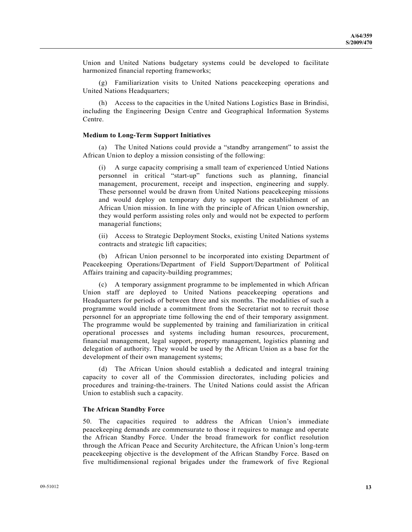Union and United Nations budgetary systems could be developed to facilitate harmonized financial reporting frameworks;

 (g) Familiarization visits to United Nations peacekeeping operations and United Nations Headquarters;

 (h) Access to the capacities in the United Nations Logistics Base in Brindisi, including the Engineering Design Centre and Geographical Information Systems Centre.

#### **Medium to Long-Term Support Initiatives**

 (a) The United Nations could provide a "standby arrangement" to assist the African Union to deploy a mission consisting of the following:

A surge capacity comprising a small team of experienced Untied Nations personnel in critical "start-up" functions such as planning, financial management, procurement, receipt and inspection, engineering and supply. These personnel would be drawn from United Nations peacekeeping missions and would deploy on temporary duty to support the establishment of an African Union mission. In line with the principle of African Union ownership, they would perform assisting roles only and would not be expected to perform managerial functions;

 (ii) Access to Strategic Deployment Stocks, existing United Nations systems contracts and strategic lift capacities;

 (b) African Union personnel to be incorporated into existing Department of Peacekeeping Operations/Department of Field Support/Department of Political Affairs training and capacity-building programmes;

 (c) A temporary assignment programme to be implemented in which African Union staff are deployed to United Nations peacekeeping operations and Headquarters for periods of between three and six months. The modalities of such a programme would include a commitment from the Secretariat not to recruit those personnel for an appropriate time following the end of their temporary assignment. The programme would be supplemented by training and familiarization in critical operational processes and systems including human resources, procurement, financial management, legal support, property management, logistics planning and delegation of authority. They would be used by the African Union as a base for the development of their own management systems;

 (d) The African Union should establish a dedicated and integral training capacity to cover all of the Commission directorates, including policies and procedures and training-the-trainers. The United Nations could assist the African Union to establish such a capacity.

#### **The African Standby Force**

50. The capacities required to address the African Union's immediate peacekeeping demands are commensurate to those it requires to manage and operate the African Standby Force. Under the broad framework for conflict resolution through the African Peace and Security Architecture, the African Union's long-term peacekeeping objective is the development of the African Standby Force. Based on five multidimensional regional brigades under the framework of five Regional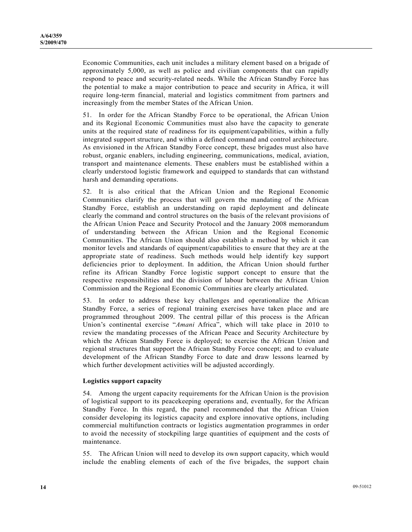Economic Communities, each unit includes a military element based on a brigade of approximately 5,000, as well as police and civilian components that can rapidly respond to peace and security-related needs. While the African Standby Force has the potential to make a major contribution to peace and security in Africa, it will require long-term financial, material and logistics commitment from partners and increasingly from the member States of the African Union.

51. In order for the African Standby Force to be operational, the African Union and its Regional Economic Communities must also have the capacity to generate units at the required state of readiness for its equipment/capabilities, within a fully integrated support structure, and within a defined command and control architecture. As envisioned in the African Standby Force concept, these brigades must also have robust, organic enablers, including engineering, communications, medical, aviation, transport and maintenance elements. These enablers must be established within a clearly understood logistic framework and equipped to standards that can withstand harsh and demanding operations.

52. It is also critical that the African Union and the Regional Economic Communities clarify the process that will govern the mandating of the African Standby Force, establish an understanding on rapid deployment and delineate clearly the command and control structures on the basis of the relevant provisions of the African Union Peace and Security Protocol and the January 2008 memorandum of understanding between the African Union and the Regional Economic Communities. The African Union should also establish a method by which it can monitor levels and standards of equipment/capabilities to ensure that they are at the appropriate state of readiness. Such methods would help identify key support deficiencies prior to deployment. In addition, the African Union should further refine its African Standby Force logistic support concept to ensure that the respective responsibilities and the division of labour between the African Union Commission and the Regional Economic Communities are clearly articulated.

53. In order to address these key challenges and operationalize the African Standby Force, a series of regional training exercises have taken place and are programmed throughout 2009. The central pillar of this process is the African Union's continental exercise "*Amani* Africa", which will take place in 2010 to review the mandating processes of the African Peace and Security Architecture by which the African Standby Force is deployed; to exercise the African Union and regional structures that support the African Standby Force concept; and to evaluate development of the African Standby Force to date and draw lessons learned by which further development activities will be adjusted accordingly.

#### **Logistics support capacity**

54. Among the urgent capacity requirements for the African Union is the provision of logistical support to its peacekeeping operations and, eventually, for the African Standby Force. In this regard, the panel recommended that the African Union consider developing its logistics capacity and explore innovative options, including commercial multifunction contracts or logistics augmentation programmes in order to avoid the necessity of stockpiling large quantities of equipment and the costs of maintenance.

55. The African Union will need to develop its own support capacity, which would include the enabling elements of each of the five brigades, the support chain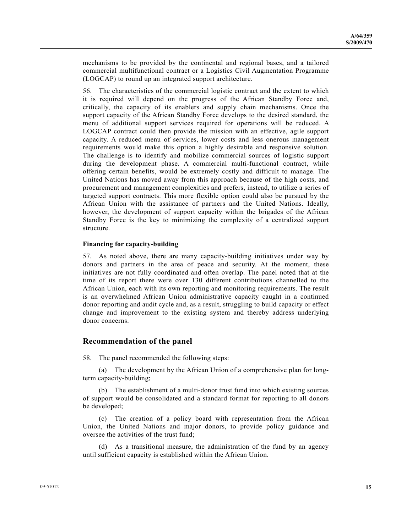mechanisms to be provided by the continental and regional bases, and a tailored commercial multifunctional contract or a Logistics Civil Augmentation Programme (LOGCAP) to round up an integrated support architecture.

56. The characteristics of the commercial logistic contract and the extent to which it is required will depend on the progress of the African Standby Force and, critically, the capacity of its enablers and supply chain mechanisms. Once the support capacity of the African Standby Force develops to the desired standard, the menu of additional support services required for operations will be reduced. A LOGCAP contract could then provide the mission with an effective, agile support capacity. A reduced menu of services, lower costs and less onerous management requirements would make this option a highly desirable and responsive solution. The challenge is to identify and mobilize commercial sources of logistic support during the development phase. A commercial multi-functional contract, while offering certain benefits, would be extremely costly and difficult to manage. The United Nations has moved away from this approach because of the high costs, and procurement and management complexities and prefers, instead, to utilize a series of targeted support contracts. This more flexible option could also be pursued by the African Union with the assistance of partners and the United Nations. Ideally, however, the development of support capacity within the brigades of the African Standby Force is the key to minimizing the complexity of a centralized support structure.

#### **Financing for capacity-building**

57. As noted above, there are many capacity-building initiatives under way by donors and partners in the area of peace and security. At the moment, these initiatives are not fully coordinated and often overlap. The panel noted that at the time of its report there were over 130 different contributions channelled to the African Union, each with its own reporting and monitoring requirements. The result is an overwhelmed African Union administrative capacity caught in a continued donor reporting and audit cycle and, as a result, struggling to build capacity or effect change and improvement to the existing system and thereby address underlying donor concerns.

### **Recommendation of the panel**

58. The panel recommended the following steps:

 (a) The development by the African Union of a comprehensive plan for longterm capacity-building;

 (b) The establishment of a multi-donor trust fund into which existing sources of support would be consolidated and a standard format for reporting to all donors be developed;

 (c) The creation of a policy board with representation from the African Union, the United Nations and major donors, to provide policy guidance and oversee the activities of the trust fund;

 (d) As a transitional measure, the administration of the fund by an agency until sufficient capacity is established within the African Union.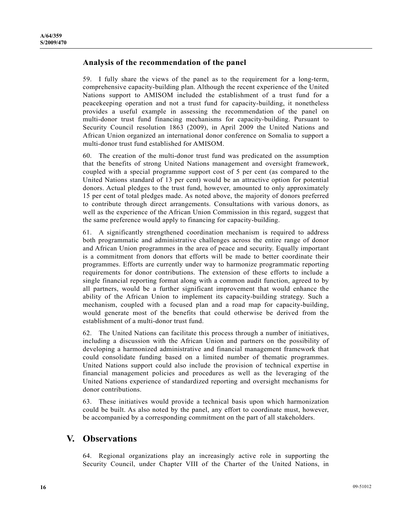## **Analysis of the recommendation of the panel**

59. I fully share the views of the panel as to the requirement for a long-term, comprehensive capacity-building plan. Although the recent experience of the United Nations support to AMISOM included the establishment of a trust fund for a peacekeeping operation and not a trust fund for capacity-building, it nonetheless provides a useful example in assessing the recommendation of the panel on multi-donor trust fund financing mechanisms for capacity-building. Pursuant to Security Council resolution 1863 (2009), in April 2009 the United Nations and African Union organized an international donor conference on Somalia to support a multi-donor trust fund established for AMISOM.

60. The creation of the multi-donor trust fund was predicated on the assumption that the benefits of strong United Nations management and oversight framework, coupled with a special programme support cost of 5 per cent (as compared to the United Nations standard of 13 per cent) would be an attractive option for potential donors. Actual pledges to the trust fund, however, amounted to only approximately 15 per cent of total pledges made. As noted above, the majority of donors preferred to contribute through direct arrangements. Consultations with various donors, as well as the experience of the African Union Commission in this regard, suggest that the same preference would apply to financing for capacity-building.

61. A significantly strengthened coordination mechanism is required to address both programmatic and administrative challenges across the entire range of donor and African Union programmes in the area of peace and security. Equally important is a commitment from donors that efforts will be made to better coordinate their programmes. Efforts are currently under way to harmonize programmatic reporting requirements for donor contributions. The extension of these efforts to include a single financial reporting format along with a common audit function, agreed to by all partners, would be a further significant improvement that would enhance the ability of the African Union to implement its capacity-building strategy. Such a mechanism, coupled with a focused plan and a road map for capacity-building, would generate most of the benefits that could otherwise be derived from the establishment of a multi-donor trust fund.

62. The United Nations can facilitate this process through a number of initiatives, including a discussion with the African Union and partners on the possibility of developing a harmonized administrative and financial management framework that could consolidate funding based on a limited number of thematic programmes. United Nations support could also include the provision of technical expertise in financial management policies and procedures as well as the leveraging of the United Nations experience of standardized reporting and oversight mechanisms for donor contributions.

63. These initiatives would provide a technical basis upon which harmonization could be built. As also noted by the panel, any effort to coordinate must, however, be accompanied by a corresponding commitment on the part of all stakeholders.

## **V. Observations**

64. Regional organizations play an increasingly active role in supporting the Security Council, under Chapter VIII of the Charter of the United Nations, in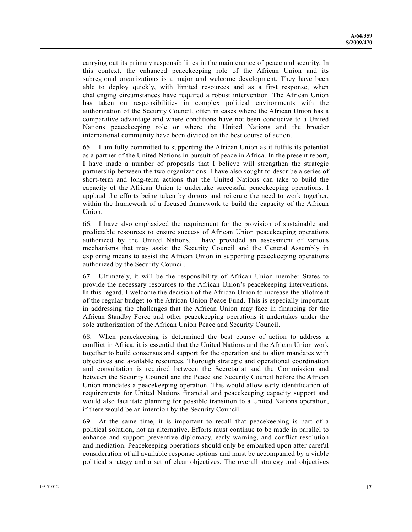carrying out its primary responsibilities in the maintenance of peace and security. In this context, the enhanced peacekeeping role of the African Union and its subregional organizations is a major and welcome development. They have been able to deploy quickly, with limited resources and as a first response, when challenging circumstances have required a robust intervention. The African Union has taken on responsibilities in complex political environments with the authorization of the Security Council, often in cases where the African Union has a comparative advantage and where conditions have not been conducive to a United Nations peacekeeping role or where the United Nations and the broader international community have been divided on the best course of action.

65. I am fully committed to supporting the African Union as it fulfils its potential as a partner of the United Nations in pursuit of peace in Africa. In the present report, I have made a number of proposals that I believe will strengthen the strategic partnership between the two organizations. I have also sought to describe a series of short-term and long-term actions that the United Nations can take to build the capacity of the African Union to undertake successful peacekeeping operations. I applaud the efforts being taken by donors and reiterate the need to work together, within the framework of a focused framework to build the capacity of the African Union.

66. I have also emphasized the requirement for the provision of sustainable and predictable resources to ensure success of African Union peacekeeping operations authorized by the United Nations. I have provided an assessment of various mechanisms that may assist the Security Council and the General Assembly in exploring means to assist the African Union in supporting peacekeeping operations authorized by the Security Council.

67. Ultimately, it will be the responsibility of African Union member States to provide the necessary resources to the African Union's peacekeeping interventions. In this regard, I welcome the decision of the African Union to increase the allotment of the regular budget to the African Union Peace Fund. This is especially important in addressing the challenges that the African Union may face in financing for the African Standby Force and other peacekeeping operations it undertakes under the sole authorization of the African Union Peace and Security Council.

68. When peacekeeping is determined the best course of action to address a conflict in Africa, it is essential that the United Nations and the African Union work together to build consensus and support for the operation and to align mandates with objectives and available resources. Thorough strategic and operational coordination and consultation is required between the Secretariat and the Commission and between the Security Council and the Peace and Security Council before the African Union mandates a peacekeeping operation. This would allow early identification of requirements for United Nations financial and peacekeeping capacity support and would also facilitate planning for possible transition to a United Nations operation, if there would be an intention by the Security Council.

69. At the same time, it is important to recall that peacekeeping is part of a political solution, not an alternative. Efforts must continue to be made in parallel to enhance and support preventive diplomacy, early warning, and conflict resolution and mediation. Peacekeeping operations should only be embarked upon after careful consideration of all available response options and must be accompanied by a viable political strategy and a set of clear objectives. The overall strategy and objectives